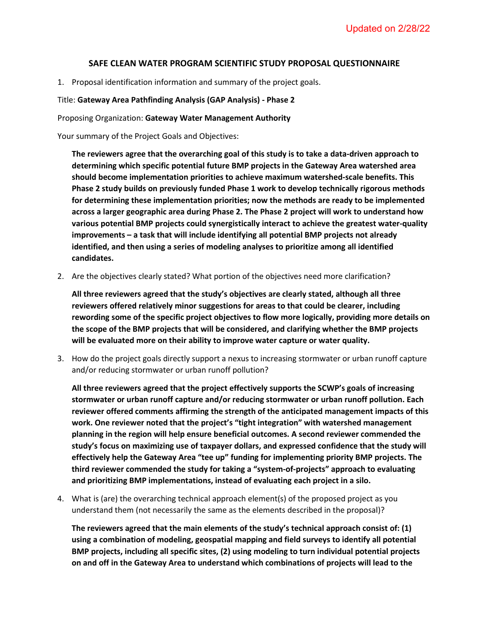## **SAFE CLEAN WATER PROGRAM SCIENTIFIC STUDY PROPOSAL QUESTIONNAIRE**

1. Proposal identification information and summary of the project goals.

## Title: **Gateway Area Pathfinding Analysis (GAP Analysis) - Phase 2**

## Proposing Organization: **Gateway Water Management Authority**

Your summary of the Project Goals and Objectives:

**The reviewers agree that the overarching goal of this study is to take a data-driven approach to determining which specific potential future BMP projects in the Gateway Area watershed area should become implementation priorities to achieve maximum watershed-scale benefits. This Phase 2 study builds on previously funded Phase 1 work to develop technically rigorous methods for determining these implementation priorities; now the methods are ready to be implemented across a larger geographic area during Phase 2. The Phase 2 project will work to understand how various potential BMP projects could synergistically interact to achieve the greatest water-quality improvements – a task that will include identifying all potential BMP projects not already identified, and then using a series of modeling analyses to prioritize among all identified candidates.** 

2. Are the objectives clearly stated? What portion of the objectives need more clarification?

**All three reviewers agreed that the study's objectives are clearly stated, although all three reviewers offered relatively minor suggestions for areas to that could be clearer, including rewording some of the specific project objectives to flow more logically, providing more details on the scope of the BMP projects that will be considered, and clarifying whether the BMP projects will be evaluated more on their ability to improve water capture or water quality.**

3. How do the project goals directly support a nexus to increasing stormwater or urban runoff capture and/or reducing stormwater or urban runoff pollution?

**All three reviewers agreed that the project effectively supports the SCWP's goals of increasing stormwater or urban runoff capture and/or reducing stormwater or urban runoff pollution. Each reviewer offered comments affirming the strength of the anticipated management impacts of this work. One reviewer noted that the project's "tight integration" with watershed management planning in the region will help ensure beneficial outcomes. A second reviewer commended the study's focus on maximizing use of taxpayer dollars, and expressed confidence that the study will effectively help the Gateway Area "tee up" funding for implementing priority BMP projects. The third reviewer commended the study for taking a "system-of-projects" approach to evaluating and prioritizing BMP implementations, instead of evaluating each project in a silo.** 

4. What is (are) the overarching technical approach element(s) of the proposed project as you understand them (not necessarily the same as the elements described in the proposal)?

**The reviewers agreed that the main elements of the study's technical approach consist of: (1) using a combination of modeling, geospatial mapping and field surveys to identify all potential BMP projects, including all specific sites, (2) using modeling to turn individual potential projects on and off in the Gateway Area to understand which combinations of projects will lead to the**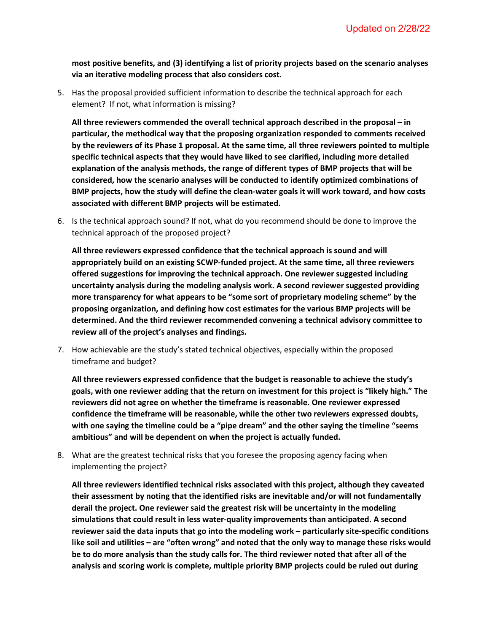**most positive benefits, and (3) identifying a list of priority projects based on the scenario analyses via an iterative modeling process that also considers cost.**

5. Has the proposal provided sufficient information to describe the technical approach for each element? If not, what information is missing?

**All three reviewers commended the overall technical approach described in the proposal – in particular, the methodical way that the proposing organization responded to comments received by the reviewers of its Phase 1 proposal. At the same time, all three reviewers pointed to multiple specific technical aspects that they would have liked to see clarified, including more detailed explanation of the analysis methods, the range of different types of BMP projects that will be considered, how the scenario analyses will be conducted to identify optimized combinations of BMP projects, how the study will define the clean-water goals it will work toward, and how costs associated with different BMP projects will be estimated.** 

6. Is the technical approach sound? If not, what do you recommend should be done to improve the technical approach of the proposed project?

**All three reviewers expressed confidence that the technical approach is sound and will appropriately build on an existing SCWP-funded project. At the same time, all three reviewers offered suggestions for improving the technical approach. One reviewer suggested including uncertainty analysis during the modeling analysis work. A second reviewer suggested providing more transparency for what appears to be "some sort of proprietary modeling scheme" by the proposing organization, and defining how cost estimates for the various BMP projects will be determined. And the third reviewer recommended convening a technical advisory committee to review all of the project's analyses and findings.**

7. How achievable are the study's stated technical objectives, especially within the proposed timeframe and budget?

**All three reviewers expressed confidence that the budget is reasonable to achieve the study's goals, with one reviewer adding that the return on investment for this project is "likely high." The reviewers did not agree on whether the timeframe is reasonable. One reviewer expressed confidence the timeframe will be reasonable, while the other two reviewers expressed doubts, with one saying the timeline could be a "pipe dream" and the other saying the timeline "seems ambitious" and will be dependent on when the project is actually funded.** 

8. What are the greatest technical risks that you foresee the proposing agency facing when implementing the project?

**All three reviewers identified technical risks associated with this project, although they caveated their assessment by noting that the identified risks are inevitable and/or will not fundamentally derail the project. One reviewer said the greatest risk will be uncertainty in the modeling simulations that could result in less water-quality improvements than anticipated. A second reviewer said the data inputs that go into the modeling work – particularly site-specific conditions like soil and utilities – are "often wrong" and noted that the only way to manage these risks would be to do more analysis than the study calls for. The third reviewer noted that after all of the analysis and scoring work is complete, multiple priority BMP projects could be ruled out during**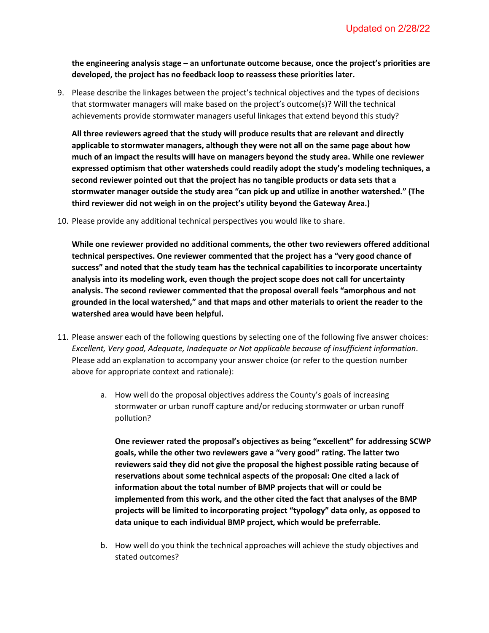**the engineering analysis stage – an unfortunate outcome because, once the project's priorities are developed, the project has no feedback loop to reassess these priorities later.** 

9. Please describe the linkages between the project's technical objectives and the types of decisions that stormwater managers will make based on the project's outcome(s)? Will the technical achievements provide stormwater managers useful linkages that extend beyond this study?

**All three reviewers agreed that the study will produce results that are relevant and directly applicable to stormwater managers, although they were not all on the same page about how much of an impact the results will have on managers beyond the study area. While one reviewer expressed optimism that other watersheds could readily adopt the study's modeling techniques, a second reviewer pointed out that the project has no tangible products or data sets that a stormwater manager outside the study area "can pick up and utilize in another watershed." (The third reviewer did not weigh in on the project's utility beyond the Gateway Area.)**

10. Please provide any additional technical perspectives you would like to share.

**While one reviewer provided no additional comments, the other two reviewers offered additional technical perspectives. One reviewer commented that the project has a "very good chance of success" and noted that the study team has the technical capabilities to incorporate uncertainty analysis into its modeling work, even though the project scope does not call for uncertainty analysis. The second reviewer commented that the proposal overall feels "amorphous and not grounded in the local watershed," and that maps and other materials to orient the reader to the watershed area would have been helpful.**

- 11. Please answer each of the following questions by selecting one of the following five answer choices: *Excellent, Very good, Adequate, Inadequate or Not applicable because of insufficient information*. Please add an explanation to accompany your answer choice (or refer to the question number above for appropriate context and rationale):
	- a. How well do the proposal objectives address the County's goals of increasing stormwater or urban runoff capture and/or reducing stormwater or urban runoff pollution?

**One reviewer rated the proposal's objectives as being "excellent" for addressing SCWP goals, while the other two reviewers gave a "very good" rating. The latter two reviewers said they did not give the proposal the highest possible rating because of reservations about some technical aspects of the proposal: One cited a lack of information about the total number of BMP projects that will or could be implemented from this work, and the other cited the fact that analyses of the BMP projects will be limited to incorporating project "typology" data only, as opposed to data unique to each individual BMP project, which would be preferrable.** 

b. How well do you think the technical approaches will achieve the study objectives and stated outcomes?